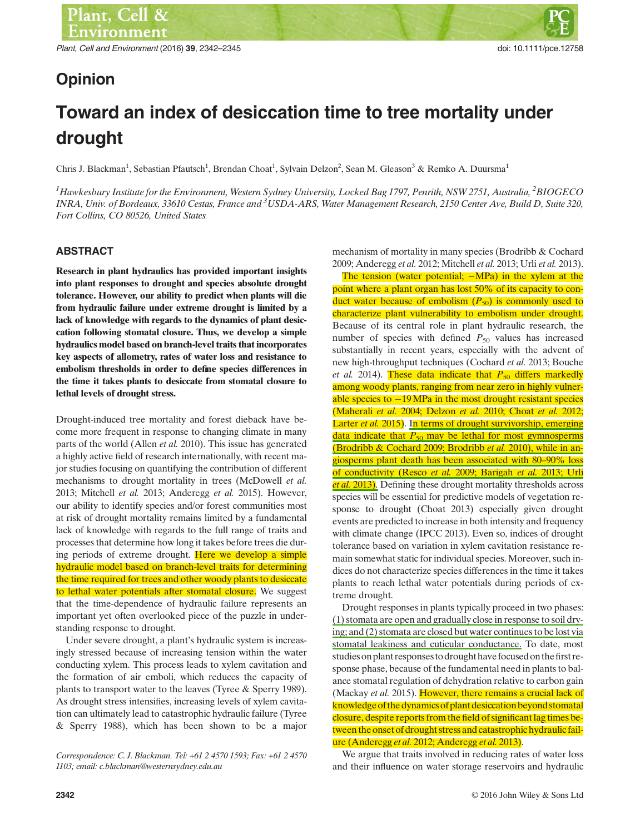# **Opinion**

# Toward an index of desiccation time to tree mortality under drought

Chris J. Blackman<sup>1</sup>, Sebastian Pfautsch<sup>1</sup>, Brendan Choat<sup>1</sup>, Sylvain Delzon<sup>2</sup>, Sean M. Gleason<sup>3</sup> & Remko A. Duursma<sup>1</sup>

 $^1$ Hawkesbury Institute for the Environment, Western Sydney University, Locked Bag 1797, Penrith, NSW 2751, Australia,  $^2$ BIOGECO INRA, Univ. of Bordeaux, 33610 Cestas, France and <sup>3</sup>USDA-ARS, Water Management Research, 2150 Center Ave, Build D, Suite 320, Fort Collins, CO 80526, United States

## **ABSTRACT**

Research in plant hydraulics has provided important insights into plant responses to drought and species absolute drought tolerance. However, our ability to predict when plants will die from hydraulic failure under extreme drought is limited by a lack of knowledge with regards to the dynamics of plant desiccation following stomatal closure. Thus, we develop a simple hydraulics model based on branch-level traits that incorporates key aspects of allometry, rates of water loss and resistance to embolism thresholds in order to define species differences in the time it takes plants to desiccate from stomatal closure to lethal levels of drought stress.

Drought-induced tree mortality and forest dieback have become more frequent in response to changing climate in many parts of the world (Allen et al. 2010). This issue has generated a highly active field of research internationally, with recent major studies focusing on quantifying the contribution of different mechanisms to drought mortality in trees (McDowell et al. 2013; Mitchell et al. 2013; Anderegg et al. 2015). However, our ability to identify species and/or forest communities most at risk of drought mortality remains limited by a fundamental lack of knowledge with regards to the full range of traits and processes that determine how long it takes before trees die during periods of extreme drought. Here we develop a simple hydraulic model based on branch-level traits for determining the time required for trees and other woody plants to desiccate to lethal water potentials after stomatal closure. We suggest that the time-dependence of hydraulic failure represents an important yet often overlooked piece of the puzzle in understanding response to drought.

Under severe drought, a plant's hydraulic system is increasingly stressed because of increasing tension within the water conducting xylem. This process leads to xylem cavitation and the formation of air emboli, which reduces the capacity of plants to transport water to the leaves (Tyree & Sperry 1989). As drought stress intensifies, increasing levels of xylem cavitation can ultimately lead to catastrophic hydraulic failure (Tyree & Sperry 1988), which has been shown to be a major

Correspondence: C. J. Blackman. Tel: +61 2 4570 1593; Fax: +61 2 4570 1103; email: c.blackman@westernsydney.edu.au

mechanism of mortality in many species (Brodribb & Cochard 2009; Anderegg et al. 2012; Mitchell et al. 2013; Urli et al. 2013).

The tension (water potential;  $-MPa$ ) in the xylem at the point where a plant organ has lost 50% of its capacity to conduct water because of embolism  $(P_{50})$  is commonly used to characterize plant vulnerability to embolism under drought. Because of its central role in plant hydraulic research, the number of species with defined  $P_{50}$  values has increased substantially in recent years, especially with the advent of new high-throughput techniques (Cochard et al. 2013; Bouche et al. 2014). These data indicate that  $P_{50}$  differs markedly among woody plants, ranging from near zero in highly vulnerable species to  $-19$  MPa in the most drought resistant species (Maherali et al. 2004; Delzon et al. 2010; Choat et al. 2012; Larter et al. 2015). In terms of drought survivorship, emerging data indicate that  $P_{50}$  may be lethal for most gymnosperms (Brodribb & Cochard 2009; Brodribb et al. 2010), while in angiosperms plant death has been associated with 80–90% loss of conductivity (Resco et al. 2009; Barigah et al. 2013; Urli et al. 2013). Defining these drought mortality thresholds across species will be essential for predictive models of vegetation response to drought (Choat 2013) especially given drought events are predicted to increase in both intensity and frequency with climate change (IPCC 2013). Even so, indices of drought tolerance based on variation in xylem cavitation resistance remain somewhat static for individual species. Moreover, such indices do not characterize species differences in the time it takes plants to reach lethal water potentials during periods of extreme drought.

Drought responses in plants typically proceed in two phases: (1) stomata are open and gradually close in response to soil drying; and (2) stomata are closed but water continues to be lost via stomatal leakiness and cuticular conductance. To date, most studies on plant responses to drought have focused on the first response phase, because of the fundamental need in plants to balance stomatal regulation of dehydration relative to carbon gain (Mackay et al. 2015). However, there remains a crucial lack of knowledge of the dynamics of plant desiccation beyond stomatal closure, despite reports from the field of significant lag times between the onset of drought stress and catastrophic hydraulic failure (Anderegg et al. 2012; Anderegg et al. 2013).

We argue that traits involved in reducing rates of water loss and their influence on water storage reservoirs and hydraulic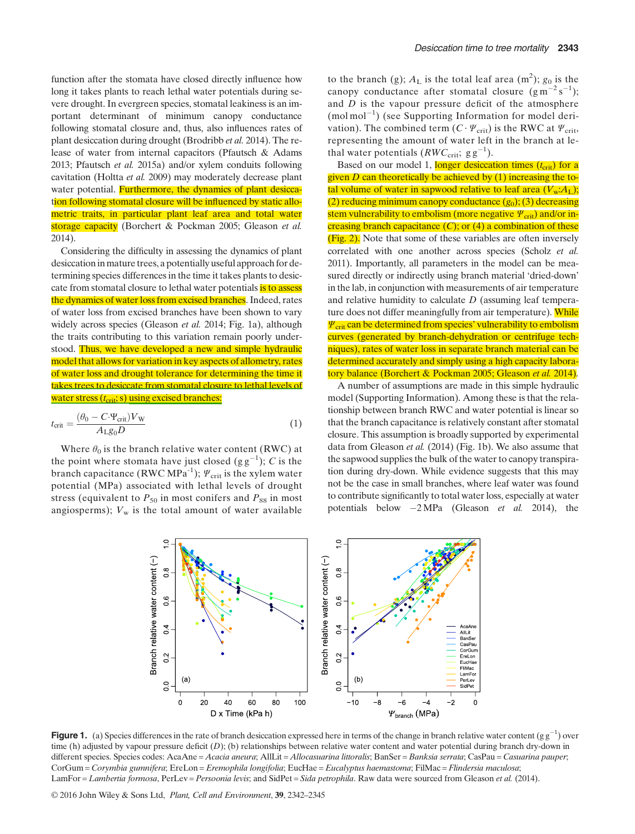function after the stomata have closed directly influence how long it takes plants to reach lethal water potentials during severe drought. In evergreen species, stomatal leakiness is an important determinant of minimum canopy conductance following stomatal closure and, thus, also influences rates of plant desiccation during drought (Brodribb et al. 2014). The release of water from internal capacitors (Pfautsch & Adams 2013; Pfautsch et al. 2015a) and/or xylem conduits following cavitation (Holtta et al. 2009) may moderately decrease plant water potential. Furthermore, the dynamics of plant desiccation following stomatal closure will be influenced by static allometric traits, in particular plant leaf area and total water storage capacity (Borchert & Pockman 2005; Gleason et al. 2014).

Considering the difficulty in assessing the dynamics of plant desiccation inmature trees, a potentially useful approach for determining species differences in the time it takes plants to desiccate from stomatal closure to lethal water potentials is to assess the dynamics of water loss from excised branches. Indeed, rates of water loss from excised branches have been shown to vary widely across species (Gleason et al. 2014; Fig. 1a), although the traits contributing to this variation remain poorly understood. Thus, we have developed a new and simple hydraulic model that allows for variation in key aspects of allometry, rates of water loss and drought tolerance for determining the time it takes trees to desiccate from stomatal closure to lethal levels of water stress  $(t_{\rm crit}; s)$  using excised branches:

$$
t_{\rm crit} = \frac{(\theta_0 - C \cdot \Psi_{\rm crit}) V_{\rm W}}{A_{\rm L} g_0 D} \tag{1}
$$

Where  $\theta_0$  is the branch relative water content (RWC) at the point where stomata have just closed  $(g g^{-1})$ ; C is the branch capacitance (RWC MPa<sup>-1</sup>);  $\varPsi_{\rm crit}$  is the xylem water potential (MPa) associated with lethal levels of drought stress (equivalent to  $P_{50}$  in most conifers and  $P_{88}$  in most angiosperms);  $V_w$  is the total amount of water available to the branch (g);  $A_L$  is the total leaf area (m<sup>2</sup>);  $g_0$  is the canopy conductance after stomatal closure  $(g m^{-2} s^{-1})$ ; and  $D$  is the vapour pressure deficit of the atmosphere  $(mod^{-1})$  (see Supporting Information for model derivation). The combined term  $(C \cdot \Psi_{\text{crit}})$  is the RWC at  $\Psi_{\text{crit}}$ , representing the amount of water left in the branch at lethal water potentials  $(RWC_{\text{crit}}; g g^{-1})$ .

Based on our model 1, longer desiccation times  $(t_{\text{crit}})$  for a given D can theoretically be achieved by  $(1)$  increasing the total volume of water in sapwood relative to leaf area  $(V_w A<sub>L</sub>)$ ; (2) reducing minimum canopy conductance  $(g_0)$ ; (3) decreasing stem vulnerability to embolism (more negative  $\Psi_{\rm crit}$ ) and/or increasing branch capacitance  $(C)$ ; or  $(4)$  a combination of these (Fig. 2). Note that some of these variables are often inversely correlated with one another across species (Scholz et al. 2011). Importantly, all parameters in the model can be measured directly or indirectly using branch material 'dried-down' in the lab, in conjunction with measurements of air temperature and relative humidity to calculate D (assuming leaf temperature does not differ meaningfully from air temperature). While  $\Psi_{\rm crit}$  can be determined from species' vulnerability to embolism curves (generated by branch-dehydration or centrifuge techniques), rates of water loss in separate branch material can be determined accurately and simply using a high capacity laboratory balance (Borchert & Pockman 2005; Gleason et al. 2014).

A number of assumptions are made in this simple hydraulic model (Supporting Information). Among these is that the relationship between branch RWC and water potential is linear so that the branch capacitance is relatively constant after stomatal closure. This assumption is broadly supported by experimental data from Gleason et al. (2014) (Fig. 1b). We also assume that the sapwood supplies the bulk of the water to canopy transpiration during dry-down. While evidence suggests that this may not be the case in small branches, where leaf water was found to contribute significantly to total water loss, especially at water potentials below  $-2MPa$  (Gleason *et al.* 2014), the



**Figure 1.** (a) Species differences in the rate of branch desiccation expressed here in terms of the change in branch relative water content (g  $g^{-1}$ ) over time (h) adjusted by vapour pressure deficit (D); (b) relationships between relative water content and water potential during branch dry-down in different species. Species codes: AcaAne = Acacia aneura; AllLit = Allocasuarina littoralis; BanSer = Banksia serrata; CasPau = Casuarina pauper; CorGum = Corymbia gumnifera; EreLon = Eremophila longifolia; EucHae = Eucalyptus haemastoma; FilMac = Flindersia maculosa; LamFor = Lambertia formosa, PerLev = Persoonia levis; and SidPet = Sida petrophila. Raw data were sourced from Gleason et al. (2014).

© 2016 John Wiley & Sons Ltd, Plant, Cell and Environment, 39, 2342–2345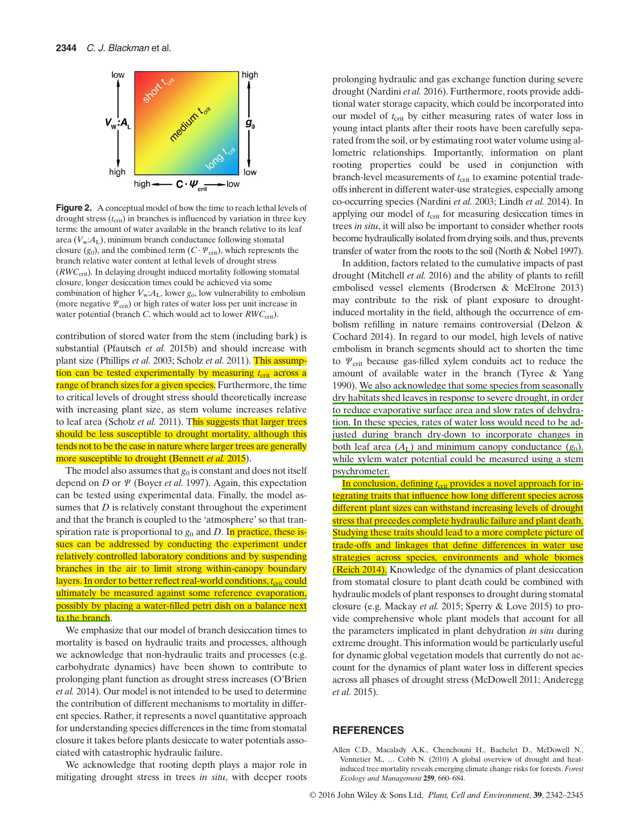

Figure 2. A conceptual model of how the time to reach lethal levels of drought stress  $(t_{\text{crit}})$  in branches is influenced by variation in three key terms: the amount of water available in the branch relative to its leaf area ( $V_w$ : $A_L$ ), minimum branch conductance following stomatal closure ( $g_0$ ), and the combined term ( $C \cdot \Psi_{\text{crit}}$ ), which represents the branch relative water content at lethal levels of drought stress  $(RWC<sub>crit</sub>)$ . In delaying drought induced mortality following stomatal closure, longer desiccation times could be achieved via some combination of higher  $V_w: A_L$ , lower  $g_0$ , low vulnerability to embolism (more negative  $\Psi_{\rm crit}$ ) or high rates of water loss per unit increase in water potential (branch  $C$ , which would act to lower  $RWC_{\text{crit}}$ ).

contribution of stored water from the stem (including bark) is substantial (Pfautsch et al. 2015b) and should increase with plant size (Phillips *et al.* 2003; Scholz *et al.* 2011). This assumption can be tested experimentally by measuring  $t_{\text{crit}}$  across a range of branch sizes for a given species. Furthermore, the time to critical levels of drought stress should theoretically increase with increasing plant size, as stem volume increases relative to leaf area (Scholz et al. 2011). This suggests that larger trees should be less susceptible to drought mortality, although this tends not to be the case in nature where larger trees are generally more susceptible to drought (Bennett *et al.* 2015).

The model also assumes that  $g_0$  is constant and does not itself depend on D or  $\Psi$  (Boyer *et al.* 1997). Again, this expectation can be tested using experimental data. Finally, the model assumes that  $D$  is relatively constant throughout the experiment and that the branch is coupled to the 'atmosphere' so that transpiration rate is proportional to  $g_0$  and D. In practice, these issues can be addressed by conducting the experiment under relatively controlled laboratory conditions and by suspending branches in the air to limit strong within-canopy boundary layers. In order to better reflect real-world conditions,  $t_{\text{crit}}$  could ultimately be measured against some reference evaporation, possibly by placing a water-filled petri dish on a balance next to the branch.

We emphasize that our model of branch desiccation times to mortality is based on hydraulic traits and processes, although we acknowledge that non-hydraulic traits and processes (e.g. carbohydrate dynamics) have been shown to contribute to prolonging plant function as drought stress increases (O'Brien et al. 2014). Our model is not intended to be used to determine the contribution of different mechanisms to mortality in different species. Rather, it represents a novel quantitative approach for understanding species differences in the time from stomatal closure it takes before plants desiccate to water potentials associated with catastrophic hydraulic failure.

We acknowledge that rooting depth plays a major role in mitigating drought stress in trees *in situ*, with deeper roots prolonging hydraulic and gas exchange function during severe drought (Nardini et al. 2016). Furthermore, roots provide additional water storage capacity, which could be incorporated into our model of  $t_{\rm crit}$  by either measuring rates of water loss in young intact plants after their roots have been carefully separated from the soil, or by estimating root water volume using allometric relationships. Importantly, information on plant rooting properties could be used in conjunction with branch-level measurements of  $t_{\text{crit}}$  to examine potential tradeoffs inherent in different water-use strategies, especially among co-occurring species (Nardini et al. 2003; Lindh et al. 2014). In applying our model of  $t_{\text{crit}}$  for measuring desiccation times in trees in situ, it will also be important to consider whether roots become hydraulically isolated from drying soils, and thus, prevents transfer of water from the roots to the soil (North & Nobel 1997).

In addition, factors related to the cumulative impacts of past drought (Mitchell et al. 2016) and the ability of plants to refill embolised vessel elements (Brodersen & McElrone 2013) may contribute to the risk of plant exposure to droughtinduced mortality in the field, although the occurrence of embolism refilling in nature remains controversial (Delzon & Cochard 2014). In regard to our model, high levels of native embolism in branch segments should act to shorten the time to  $\Psi_{\text{crit}}$  because gas-filled xylem conduits act to reduce the amount of available water in the branch (Tyree & Yang 1990). We also acknowledge that some species from seasonally dry habitats shed leaves in response to severe drought, in order to reduce evaporative surface area and slow rates of dehydration. In these species, rates of water loss would need to be adjusted during branch dry-down to incorporate changes in both leaf area  $(A<sub>L</sub>)$  and minimum canopy conductance  $(g<sub>0</sub>)$ , while xylem water potential could be measured using a stem psychrometer.

In conclusion, defining  $t_{\text{crit}}$  provides a novel approach for integrating traits that influence how long different species across different plant sizes can withstand increasing levels of drought stress that precedes complete hydraulic failure and plant death. Studying these traits should lead to a more complete picture of trade-offs and linkages that define differences in water use strategies across species, environments and whole biomes (Reich 2014). Knowledge of the dynamics of plant desiccation from stomatal closure to plant death could be combined with hydraulic models of plant responses to drought during stomatal closure (e.g. Mackay et al. 2015; Sperry & Love 2015) to provide comprehensive whole plant models that account for all the parameters implicated in plant dehydration in situ during extreme drought. This information would be particularly useful for dynamic global vegetation models that currently do not account for the dynamics of plant water loss in different species across all phases of drought stress (McDowell 2011; Anderegg et al. 2015).

### **REFERENCES**

Allen C.D., Macalady A.K., Chenchouni H., Bachelet D., McDowell N., Vennetier M., … Cobb N. (2010) A global overview of drought and heatinduced tree mortality reveals emerging climate change risks for forests. Forest Ecology and Management 259, 660–684.